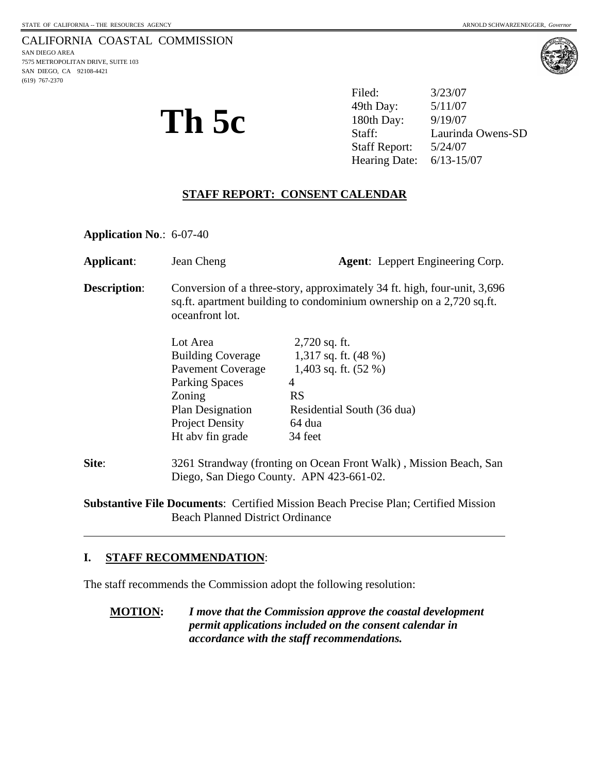#### CALIFORNIA COASTAL COMMISSION SAN DIEGO AREA

7575 METROPOLITAN DRIVE, SUITE 103 SAN DIEGO, CA 92108-4421 (619) 767-2370



**Th 5c**  $\sum_{\text{Staff:}}^{49\text{th Day:}}$   $\sum_{\text{Staff:}}^{5/11/07}$  Filed: 3/23/07 49th Day: Laurinda Owens-SD Staff Report: 5/24/07 Hearing Date: 6/13-15/07

# **STAFF REPORT: CONSENT CALENDAR**

**Application No**.: 6-07-40

| Applicant:                                                                                 | Jean Cheng                                                                                                                                                          |                            | <b>Agent:</b> Leppert Engineering Corp. |
|--------------------------------------------------------------------------------------------|---------------------------------------------------------------------------------------------------------------------------------------------------------------------|----------------------------|-----------------------------------------|
| <b>Description:</b>                                                                        | Conversion of a three-story, approximately 34 ft. high, four-unit, 3,696<br>sq.ft. apartment building to condominium ownership on a 2,720 sq.ft.<br>oceanfront lot. |                            |                                         |
|                                                                                            | Lot Area                                                                                                                                                            | $2,720$ sq. ft.            |                                         |
|                                                                                            | <b>Building Coverage</b>                                                                                                                                            | 1,317 sq. ft. $(48\%)$     |                                         |
|                                                                                            | <b>Pavement Coverage</b>                                                                                                                                            | 1,403 sq. ft. $(52 \%)$    |                                         |
|                                                                                            | <b>Parking Spaces</b>                                                                                                                                               | 4                          |                                         |
|                                                                                            | Zoning                                                                                                                                                              | <b>RS</b>                  |                                         |
|                                                                                            | <b>Plan Designation</b>                                                                                                                                             | Residential South (36 dua) |                                         |
|                                                                                            | <b>Project Density</b>                                                                                                                                              | 64 dua                     |                                         |
|                                                                                            | Ht abv fin grade                                                                                                                                                    | 34 feet                    |                                         |
| Site:                                                                                      | 3261 Strandway (fronting on Ocean Front Walk), Mission Beach, San                                                                                                   |                            |                                         |
|                                                                                            | Diego, San Diego County. APN 423-661-02.                                                                                                                            |                            |                                         |
| <b>Substantive File Documents: Certified Mission Beach Precise Plan; Certified Mission</b> |                                                                                                                                                                     |                            |                                         |

Beach Planned District Ordinance

## **I. STAFF RECOMMENDATION**:

 $\overline{a}$ 

The staff recommends the Commission adopt the following resolution:

**MOTION:** *I move that the Commission approve the coastal development permit applications included on the consent calendar in accordance with the staff recommendations.*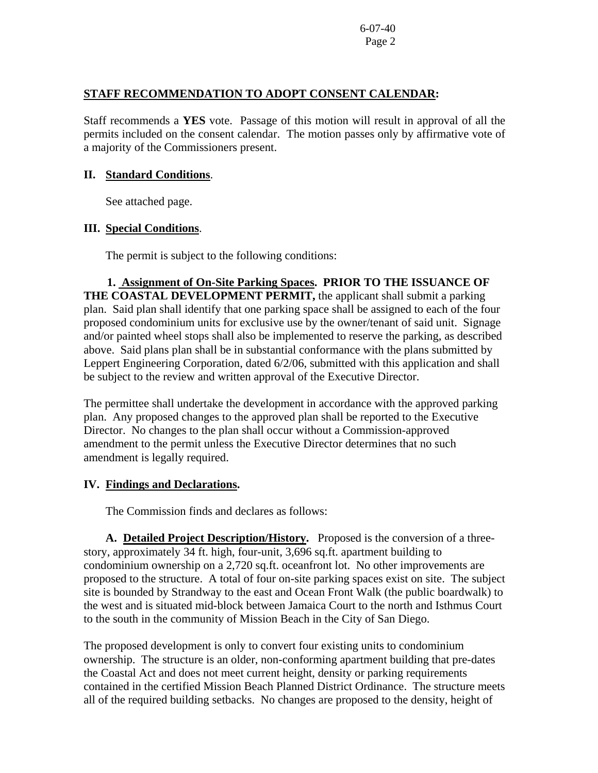6-07-40 Page 2

## **STAFF RECOMMENDATION TO ADOPT CONSENT CALENDAR:**

Staff recommends a **YES** vote. Passage of this motion will result in approval of all the permits included on the consent calendar. The motion passes only by affirmative vote of a majority of the Commissioners present.

### **II. Standard Conditions**.

See attached page.

## **III. Special Conditions**.

The permit is subject to the following conditions:

 **1. Assignment of On-Site Parking Spaces. PRIOR TO THE ISSUANCE OF THE COASTAL DEVELOPMENT PERMIT,** the applicant shall submit a parking plan. Said plan shall identify that one parking space shall be assigned to each of the four proposed condominium units for exclusive use by the owner/tenant of said unit. Signage and/or painted wheel stops shall also be implemented to reserve the parking, as described above. Said plans plan shall be in substantial conformance with the plans submitted by Leppert Engineering Corporation, dated 6/2/06, submitted with this application and shall be subject to the review and written approval of the Executive Director.

The permittee shall undertake the development in accordance with the approved parking plan. Any proposed changes to the approved plan shall be reported to the Executive Director. No changes to the plan shall occur without a Commission-approved amendment to the permit unless the Executive Director determines that no such amendment is legally required.

## **IV. Findings and Declarations.**

The Commission finds and declares as follows:

**A. Detailed Project Description/History.** Proposed is the conversion of a threestory, approximately 34 ft. high, four-unit, 3,696 sq.ft. apartment building to condominium ownership on a 2,720 sq.ft. oceanfront lot. No other improvements are proposed to the structure. A total of four on-site parking spaces exist on site. The subject site is bounded by Strandway to the east and Ocean Front Walk (the public boardwalk) to the west and is situated mid-block between Jamaica Court to the north and Isthmus Court to the south in the community of Mission Beach in the City of San Diego.

The proposed development is only to convert four existing units to condominium ownership. The structure is an older, non-conforming apartment building that pre-dates the Coastal Act and does not meet current height, density or parking requirements contained in the certified Mission Beach Planned District Ordinance. The structure meets all of the required building setbacks. No changes are proposed to the density, height of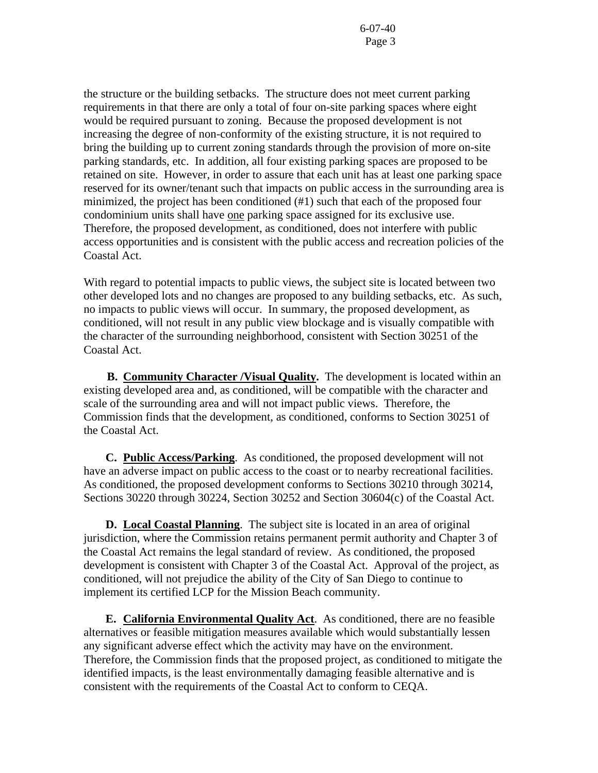6-07-40 Page 3

the structure or the building setbacks. The structure does not meet current parking requirements in that there are only a total of four on-site parking spaces where eight would be required pursuant to zoning. Because the proposed development is not increasing the degree of non-conformity of the existing structure, it is not required to bring the building up to current zoning standards through the provision of more on-site parking standards, etc. In addition, all four existing parking spaces are proposed to be retained on site. However, in order to assure that each unit has at least one parking space reserved for its owner/tenant such that impacts on public access in the surrounding area is minimized, the project has been conditioned (#1) such that each of the proposed four condominium units shall have one parking space assigned for its exclusive use. Therefore, the proposed development, as conditioned, does not interfere with public access opportunities and is consistent with the public access and recreation policies of the Coastal Act.

With regard to potential impacts to public views, the subject site is located between two other developed lots and no changes are proposed to any building setbacks, etc. As such, no impacts to public views will occur. In summary, the proposed development, as conditioned, will not result in any public view blockage and is visually compatible with the character of the surrounding neighborhood, consistent with Section 30251 of the Coastal Act.

 **B. Community Character /Visual Quality.** The development is located within an existing developed area and, as conditioned, will be compatible with the character and scale of the surrounding area and will not impact public views. Therefore, the Commission finds that the development, as conditioned, conforms to Section 30251 of the Coastal Act.

**C. Public Access/Parking**. As conditioned, the proposed development will not have an adverse impact on public access to the coast or to nearby recreational facilities. As conditioned, the proposed development conforms to Sections 30210 through 30214, Sections 30220 through 30224, Section 30252 and Section 30604(c) of the Coastal Act.

 **D. Local Coastal Planning**. The subject site is located in an area of original jurisdiction, where the Commission retains permanent permit authority and Chapter 3 of the Coastal Act remains the legal standard of review. As conditioned, the proposed development is consistent with Chapter 3 of the Coastal Act. Approval of the project, as conditioned, will not prejudice the ability of the City of San Diego to continue to implement its certified LCP for the Mission Beach community.

 **E. California Environmental Quality Act**. As conditioned, there are no feasible alternatives or feasible mitigation measures available which would substantially lessen any significant adverse effect which the activity may have on the environment. Therefore, the Commission finds that the proposed project, as conditioned to mitigate the identified impacts, is the least environmentally damaging feasible alternative and is consistent with the requirements of the Coastal Act to conform to CEQA.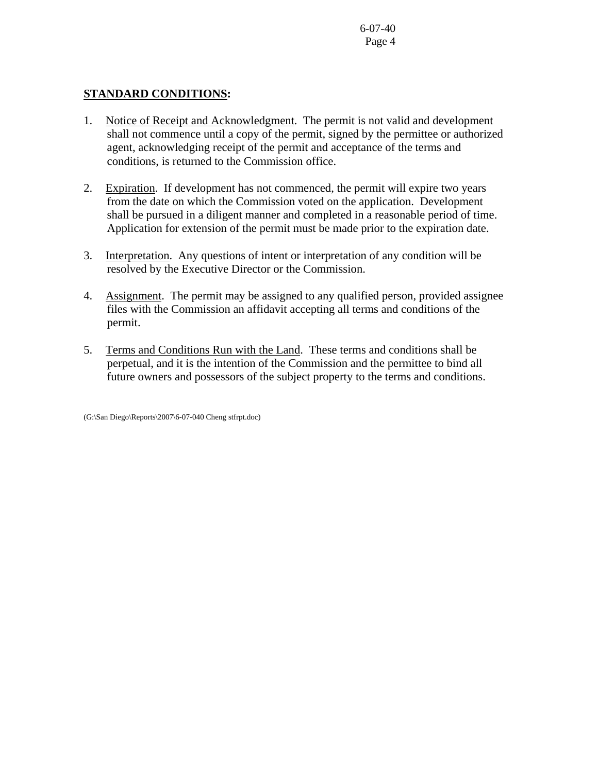6-07-40 Page 4

## **STANDARD CONDITIONS:**

- 1. Notice of Receipt and Acknowledgment. The permit is not valid and development shall not commence until a copy of the permit, signed by the permittee or authorized agent, acknowledging receipt of the permit and acceptance of the terms and conditions, is returned to the Commission office.
- 2. Expiration. If development has not commenced, the permit will expire two years from the date on which the Commission voted on the application. Development shall be pursued in a diligent manner and completed in a reasonable period of time. Application for extension of the permit must be made prior to the expiration date.
- 3. Interpretation. Any questions of intent or interpretation of any condition will be resolved by the Executive Director or the Commission.
- 4. Assignment. The permit may be assigned to any qualified person, provided assignee files with the Commission an affidavit accepting all terms and conditions of the permit.
- 5. Terms and Conditions Run with the Land. These terms and conditions shall be perpetual, and it is the intention of the Commission and the permittee to bind all future owners and possessors of the subject property to the terms and conditions.

(G:\San Diego\Reports\2007\6-07-040 Cheng stfrpt.doc)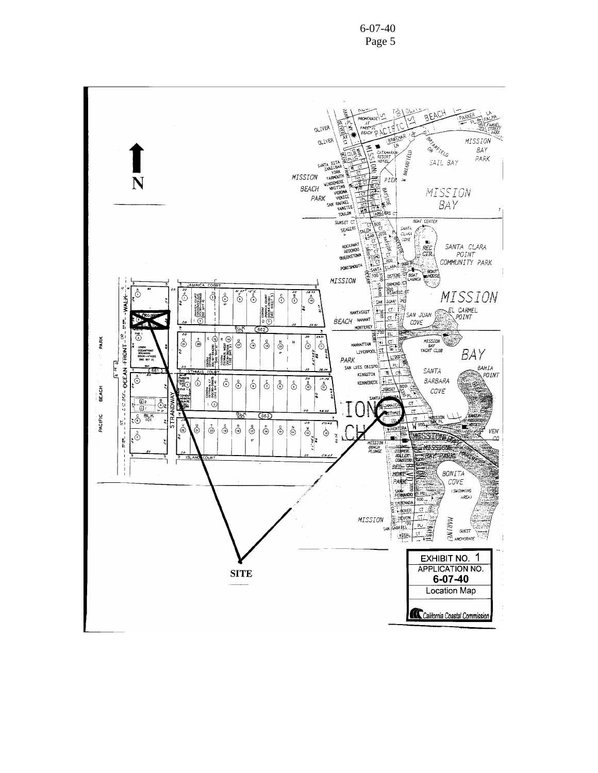

6-07-40 Page 5